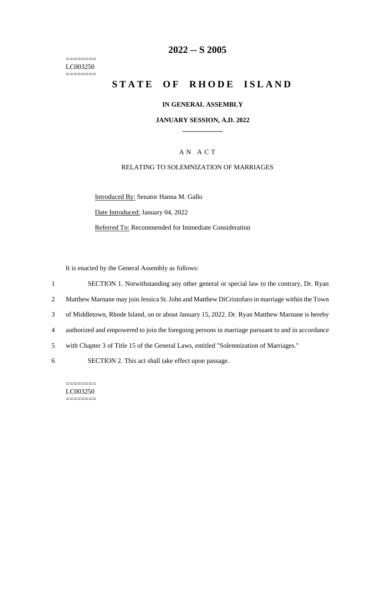======== LC003250  $=$ 

## **2022 -- S 2005**

# **STATE OF RHODE ISLAND**

#### **IN GENERAL ASSEMBLY**

#### **JANUARY SESSION, A.D. 2022 \_\_\_\_\_\_\_\_\_\_\_\_**

## A N A C T

#### RELATING TO SOLEMNIZATION OF MARRIAGES

Introduced By: Senator Hanna M. Gallo Date Introduced: January 04, 2022 Referred To: Recommended for Immediate Consideration

It is enacted by the General Assembly as follows:

1 SECTION 1. Notwithstanding any other general or special law to the contrary, Dr. Ryan

2 Matthew Marnane may join Jessica St. John and Matthew DiCristofaro in marriage within the Town

3 of Middletown, Rhode Island, on or about January 15, 2022. Dr. Ryan Matthew Marnane is hereby

- 4 authorized and empowered to join the foregoing persons in marriage pursuant to and in accordance
- 5 with Chapter 3 of Title 15 of the General Laws, entitled "Solemnization of Marriages."

6 SECTION 2. This act shall take effect upon passage.

======== LC003250 ========